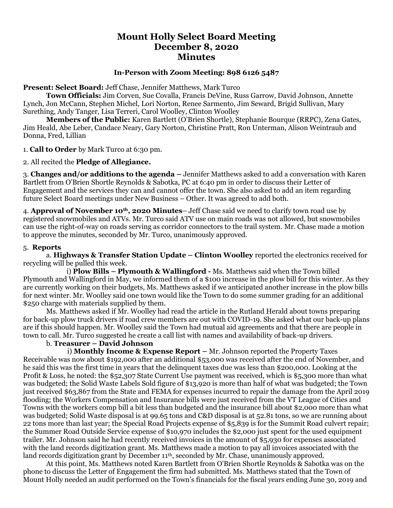# **Mount Holly Select Board Meeting December 8, 2020 Minutes**

#### **In-Person with Zoom Meeting: 898 6126 5487**

**Present: Select Board:** Jeff Chase, Jennifer Matthews, Mark Turco

**Town Officials:** Jim Corven, Sue Covalla, Francis DeVine, Russ Garrow, David Johnson, Annette Lynch, Jon McCann, Stephen Michel, Lori Norton, Renee Sarmento, Jim Seward, Brigid Sullivan, Mary Surething, Andy Tanger, Lisa Terreri, Carol Woolley, Clinton Woolley

**Members of the Public:** Karen Bartlett (O'Brien Shortle), Stephanie Bourque (RRPC), Zena Gates, Jim Heald, Abe Leber, Candace Neary, Gary Norton, Christine Pratt, Ron Unterman, Alison Weintraub and Donna, Fred, Lillian

1. **Call to Order** by Mark Turco at 6:30 pm.

2. All recited the **Pledge of Allegiance.**

3. **Changes and/or additions to the agenda –** Jennifer Matthews asked to add a conversation with Karen Bartlett from O'Brien Shortle Reynolds & Sabotka, PC at 6:40 pm in order to discuss their Letter of Engagement and the services they can and cannot offer the town. She also asked to add an item regarding future Select Board meetings under New Business – Other. It was agreed to add both.

4. **Approval of November 10th, 2020 Minutes**– Jeff Chase said we need to clarify town road use by registered snowmobiles and ATVs. Mr. Turco said ATV use on main roads was not allowed, but snowmobiles can use the right-of-way on roads serving as corridor connectors to the trail system. Mr. Chase made a motion to approve the minutes, seconded by Mr. Turco, unanimously approved.

### 5. **Reports**

a. **Highways & Transfer Station Update – Clinton Woolley** reported the electronics received for recycling will be pulled this week.

 i) **Plow Bills – Plymouth & Wallingford -** Ms. Matthews said when the Town billed Plymouth and Wallingford in May, we informed them of a \$100 increase in the plow bill for this winter. As they are currently working on their budgets, Ms. Matthews asked if we anticipated another increase in the plow bills for next winter. Mr. Woolley said one town would like the Town to do some summer grading for an additional \$250 charge with materials supplied by them.

Ms. Matthews asked if Mr. Woolley had read the article in the Rutland Herald about towns preparing for back-up plow truck drivers if road crew members are out with COVID-19. She asked what our back-up plans are if this should happen. Mr. Woolley said the Town had mutual aid agreements and that there are people in town to call. Mr. Turco suggested he create a call list with names and availability of back-up drivers.

## b. **Treasurer – David Johnson**

 i) **Monthly Income & Expense Report –** Mr. Johnson reported the Property Taxes Receivable was now about \$192,000 after an additional \$53,000 was received after the end of November, and he said this was the first time in years that the delinquent taxes due was less than \$200,000. Looking at the Profit & Loss, he noted: the \$52,307 State Current Use payment was received, which is \$5,300 more than what was budgeted; the Solid Waste Labels Sold figure of \$13,920 is more than half of what was budgeted; the Town just received \$63,867 from the State and FEMA for expenses incurred to repair the damage from the April 2019 flooding; the Workers Compensation and Insurance bills were just received from the VT League of Cities and Towns with the workers comp bill a bit less than budgeted and the insurance bill about \$2,000 more than what was budgeted; Solid Waste disposal is at 99.65 tons and C&D disposal is at 52.81 tons, so we are running about 22 tons more than last year; the Special Road Projects expense of \$5,839 is for the Summit Road culvert repair; the Summer Road Outside Service expense of \$10,970 includes the \$2,000 just spent for the used equipment trailer. Mr. Johnson said he had recently received invoices in the amount of \$5,930 for expenses associated with the land records digitization grant. Ms. Matthews made a motion to pay all invoices associated with the land records digitization grant by December 11<sup>th</sup>, seconded by Mr. Chase, unanimously approved.

At this point, Ms. Matthews noted Karen Bartlett from O'Brien Shortle Reynolds & Sabotka was on the phone to discuss the Letter of Engagement the firm had submitted. Ms. Matthews stated that the Town of Mount Holly needed an audit performed on the Town's financials for the fiscal years ending June 30, 2019 and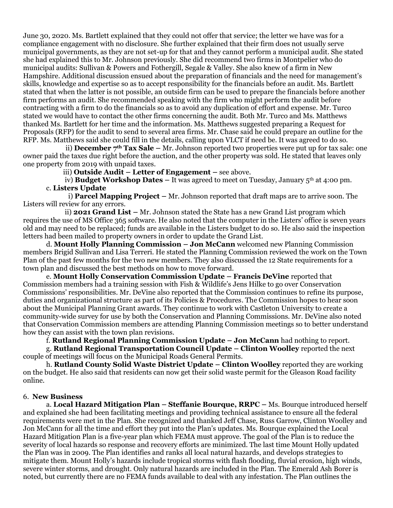June 30, 2020. Ms. Bartlett explained that they could not offer that service; the letter we have was for a compliance engagement with no disclosure. She further explained that their firm does not usually serve municipal governments, as they are not set-up for that and they cannot perform a municipal audit. She stated she had explained this to Mr. Johnson previously. She did recommend two firms in Montpelier who do municipal audits: Sullivan & Powers and Fothergill, Segale & Valley. She also knew of a firm in New Hampshire. Additional discussion ensued about the preparation of financials and the need for management's skills, knowledge and expertise so as to accept responsibility for the financials before an audit. Ms. Bartlett stated that when the latter is not possible, an outside firm can be used to prepare the financials before another firm performs an audit. She recommended speaking with the firm who might perform the audit before contracting with a firm to do the financials so as to avoid any duplication of effort and expense. Mr. Turco stated we would have to contact the other firms concerning the audit. Both Mr. Turco and Ms. Matthews thanked Ms. Bartlett for her time and the information. Ms. Matthews suggested preparing a Request for Proposals (RFP) for the audit to send to several area firms. Mr. Chase said he could prepare an outline for the RFP. Ms. Matthews said she could fill in the details, calling upon VLCT if need be. It was agreed to do so.

 ii) **December 7th Tax Sale –** Mr. Johnson reported two properties were put up for tax sale: one owner paid the taxes due right before the auction, and the other property was sold. He stated that leaves only one property from 2019 with unpaid taxes.

iii) **Outside Audit – Letter of Engagement –** see above.

 iv) **Budget Workshop Dates –** It was agreed to meet on Tuesday, January 5th at 4:00 pm. c. **Listers Update**

 i) **Parcel Mapping Project –** Mr. Johnson reported that draft maps are to arrive soon. The Listers will review for any errors.

 ii) **2021 Grand List –** Mr. Johnson stated the State has a new Grand List program which requires the use of MS Office 365 software. He also noted that the computer in the Listers' office is seven years old and may need to be replaced; funds are available in the Listers budget to do so. He also said the inspection letters had been mailed to property owners in order to update the Grand List.

d. **Mount Holly Planning Commission – Jon McCann** welcomed new Planning Commission members Brigid Sullivan and Lisa Terreri. He stated the Planning Commission reviewed the work on the Town Plan of the past few months for the two new members. They also discussed the 12 State requirements for a town plan and discussed the best methods on how to move forward.

e. **Mount Holly Conservation Commission Update – Francis DeVine** reported that Commission members had a training session with Fish & Wildlife's Jens Hilke to go over Conservation Commissions' responsibilities. Mr. DeVine also reported that the Commission continues to refine its purpose, duties and organizational structure as part of its Policies & Procedures. The Commission hopes to hear soon about the Municipal Planning Grant awards. They continue to work with Castleton University to create a community-wide survey for use by both the Conservation and Planning Commissions. Mr. DeVine also noted that Conservation Commission members are attending Planning Commission meetings so to better understand how they can assist with the town plan revisions.

f. **Rutland Regional Planning Commission Update – Jon McCann** had nothing to report.

g. **Rutland Regional Transportation Council Update – Clinton Woolley** reported the next couple of meetings will focus on the Municipal Roads General Permits.

h. **Rutland County Solid Waste District Update – Clinton Woolley** reported they are working on the budget. He also said that residents can now get their solid waste permit for the Gleason Road facility online.

#### 6. **New Business**

a. **Local Hazard Mitigation Plan – Steffanie Bourque, RRPC –** Ms. Bourque introduced herself and explained she had been facilitating meetings and providing technical assistance to ensure all the federal requirements were met in the Plan. She recognized and thanked Jeff Chase, Russ Garrow, Clinton Woolley and Jon McCann for all the time and effort they put into the Plan's updates. Ms. Bourque explained the Local Hazard Mitigation Plan is a five-year plan which FEMA must approve. The goal of the Plan is to reduce the severity of local hazards so response and recovery efforts are minimized. The last time Mount Holly updated the Plan was in 2009. The Plan identifies and ranks all local natural hazards, and develops strategies to mitigate them. Mount Holly's hazards include tropical storms with flash flooding, fluvial erosion, high winds, severe winter storms, and drought. Only natural hazards are included in the Plan. The Emerald Ash Borer is noted, but currently there are no FEMA funds available to deal with any infestation. The Plan outlines the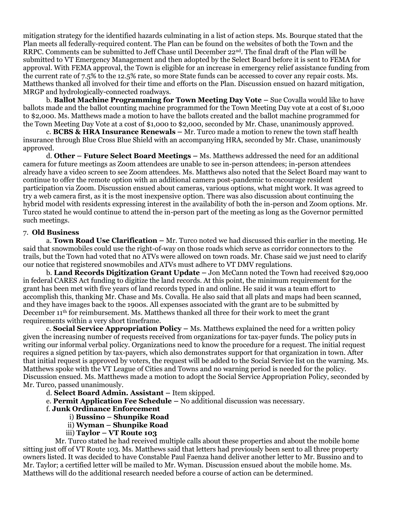mitigation strategy for the identified hazards culminating in a list of action steps. Ms. Bourque stated that the Plan meets all federally-required content. The Plan can be found on the websites of both the Town and the RRPC. Comments can be submitted to Jeff Chase until December 22nd. The final draft of the Plan will be submitted to VT Emergency Management and then adopted by the Select Board before it is sent to FEMA for approval. With FEMA approval, the Town is eligible for an increase in emergency relief assistance funding from the current rate of 7.5% to the 12.5% rate, so more State funds can be accessed to cover any repair costs. Ms. Matthews thanked all involved for their time and efforts on the Plan. Discussion ensued on hazard mitigation, MRGP and hydrologically-connected roadways.

b. **Ballot Machine Programming for Town Meeting Day Vote –** Sue Covalla would like to have ballots made and the ballot counting machine programmed for the Town Meeting Day vote at a cost of \$1,000 to \$2,000. Ms. Matthews made a motion to have the ballots created and the ballot machine programmed for the Town Meeting Day Vote at a cost of \$1,000 to \$2,000, seconded by Mr. Chase, unanimously approved.

c. **BCBS & HRA Insurance Renewals –** Mr. Turco made a motion to renew the town staff health insurance through Blue Cross Blue Shield with an accompanying HRA, seconded by Mr. Chase, unanimously approved.

d. **Other – Future Select Board Meetings –** Ms. Matthews addressed the need for an additional camera for future meetings as Zoom attendees are unable to see in-person attendees; in-person attendees already have a video screen to see Zoom attendees. Ms. Matthews also noted that the Select Board may want to continue to offer the remote option with an additional camera post-pandemic to encourage resident participation via Zoom. Discussion ensued about cameras, various options, what might work. It was agreed to try a web camera first, as it is the most inexpensive option. There was also discussion about continuing the hybrid model with residents expressing interest in the availability of both the in-person and Zoom options. Mr. Turco stated he would continue to attend the in-person part of the meeting as long as the Governor permitted such meetings.

## 7. **Old Business**

a. **Town Road Use Clarification –** Mr. Turco noted we had discussed this earlier in the meeting. He said that snowmobiles could use the right-of-way on those roads which serve as corridor connectors to the trails, but the Town had voted that no ATVs were allowed on town roads. Mr. Chase said we just need to clarify our notice that registered snowmobiles and ATVs must adhere to VT DMV regulations.

b. **Land Records Digitization Grant Update –** Jon McCann noted the Town had received \$29,000 in federal CARES Act funding to digitize the land records. At this point, the minimum requirement for the grant has been met with five years of land records typed in and online. He said it was a team effort to accomplish this, thanking Mr. Chase and Ms. Covalla. He also said that all plats and maps had been scanned, and they have images back to the 1900s. All expenses associated with the grant are to be submitted by December 11th for reimbursement. Ms. Matthews thanked all three for their work to meet the grant requirements within a very short timeframe.

c. **Social Service Appropriation Policy –** Ms. Matthews explained the need for a written policy given the increasing number of requests received from organizations for tax-payer funds. The policy puts in writing our informal verbal policy. Organizations need to know the procedure for a request. The initial request requires a signed petition by tax-payers, which also demonstrates support for that organization in town. After that initial request is approved by voters, the request will be added to the Social Service list on the warning. Ms. Matthews spoke with the VT League of Cities and Towns and no warning period is needed for the policy. Discussion ensued. Ms. Matthews made a motion to adopt the Social Service Appropriation Policy, seconded by Mr. Turco, passed unanimously.

- d. **Select Board Admin. Assistant –** Item skipped.
- e. **Permit Application Fee Schedule –** No additional discussion was necessary.
	- f. **Junk Ordinance Enforcement**
		- i) **Bussino – Shunpike Road**
		- ii) **Wyman – Shunpike Road**
		- iii) **Taylor – VT Route 103**

Mr. Turco stated he had received multiple calls about these properties and about the mobile home sitting just off of VT Route 103. Ms. Matthews said that letters had previously been sent to all three property owners listed. It was decided to have Constable Paul Faenza hand deliver another letter to Mr. Bussino and to Mr. Taylor; a certified letter will be mailed to Mr. Wyman. Discussion ensued about the mobile home. Ms. Matthews will do the additional research needed before a course of action can be determined.